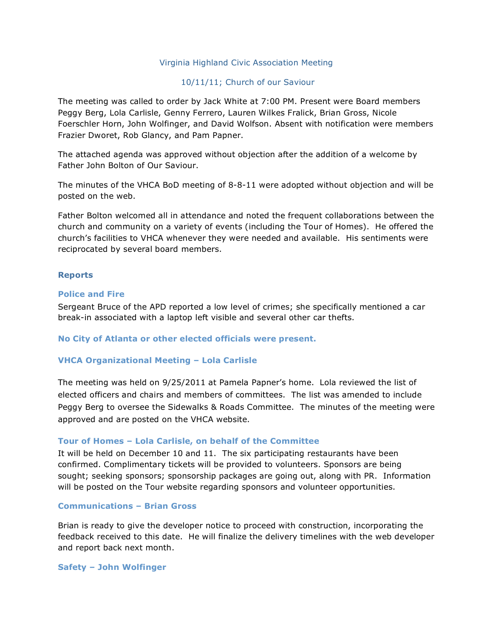### Virginia Highland Civic Association Meeting

## 10/11/11; Church of our Saviour

The meeting was called to order by Jack White at 7:00 PM. Present were Board members Peggy Berg, Lola Carlisle, Genny Ferrero, Lauren Wilkes Fralick, Brian Gross, Nicole Foerschler Horn, John Wolfinger, and David Wolfson. Absent with notification were members Frazier Dworet, Rob Glancy, and Pam Papner.

The attached agenda was approved without objection after the addition of a welcome by Father John Bolton of Our Saviour.

The minutes of the VHCA BoD meeting of 8-8-11 were adopted without objection and will be posted on the web.

Father Bolton welcomed all in attendance and noted the frequent collaborations between the church and community on a variety of events (including the Tour of Homes). He offered the church's facilities to VHCA whenever they were needed and available. His sentiments were reciprocated by several board members.

### **Reports**

#### **Police and Fire**

Sergeant Bruce of the APD reported a low level of crimes; she specifically mentioned a car break-in associated with a laptop left visible and several other car thefts.

#### **No City of Atlanta or other elected officials were present.**

## **VHCA Organizational Meeting – Lola Carlisle**

The meeting was held on 9/25/2011 at Pamela Papner's home. Lola reviewed the list of elected officers and chairs and members of committees. The list was amended to include Peggy Berg to oversee the Sidewalks & Roads Committee. The minutes of the meeting were approved and are posted on the VHCA website.

#### **Tour of Homes – Lola Carlisle, on behalf of the Committee**

It will be held on December 10 and 11. The six participating restaurants have been confirmed. Complimentary tickets will be provided to volunteers. Sponsors are being sought; seeking sponsors; sponsorship packages are going out, along with PR. Information will be posted on the Tour website regarding sponsors and volunteer opportunities.

#### **Communications – Brian Gross**

Brian is ready to give the developer notice to proceed with construction, incorporating the feedback received to this date. He will finalize the delivery timelines with the web developer and report back next month.

**Safety – John Wolfinger**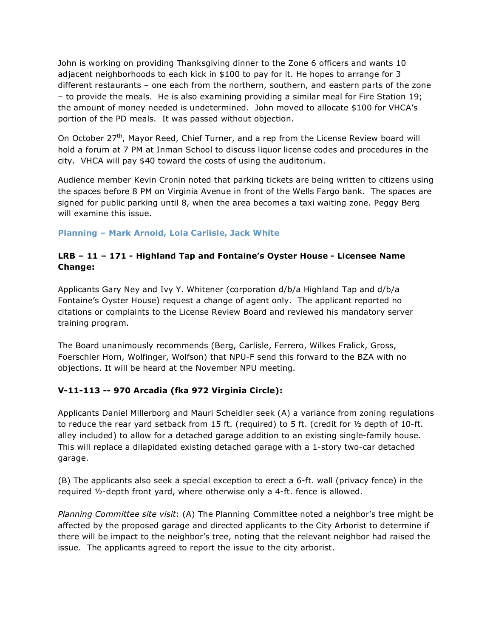John is working on providing Thanksgiving dinner to the Zone 6 officers and wants 10 adjacent neighborhoods to each kick in \$100 to pay for it. He hopes to arrange for 3 different restaurants – one each from the northern, southern, and eastern parts of the zone – to provide the meals. He is also examining providing a similar meal for Fire Station 19; the amount of money needed is undetermined. John moved to allocate \$100 for VHCA's portion of the PD meals. It was passed without objection.

On October 27<sup>th</sup>, Mayor Reed, Chief Turner, and a rep from the License Review board will hold a forum at 7 PM at Inman School to discuss liquor license codes and procedures in the city. VHCA will pay \$40 toward the costs of using the auditorium.

Audience member Kevin Cronin noted that parking tickets are being written to citizens using the spaces before 8 PM on Virginia Avenue in front of the Wells Fargo bank. The spaces are signed for public parking until 8, when the area becomes a taxi waiting zone. Peggy Berg will examine this issue.

# **Planning – Mark Arnold, Lola Carlisle, Jack White**

# **LRB – 11 – 171 - Highland Tap and Fontaine's Oyster House - Licensee Name Change:**

Applicants Gary Ney and Ivy Y. Whitener (corporation d/b/a Highland Tap and d/b/a Fontaine's Oyster House) request a change of agent only. The applicant reported no citations or complaints to the License Review Board and reviewed his mandatory server training program.

The Board unanimously recommends (Berg, Carlisle, Ferrero, Wilkes Fralick, Gross, Foerschler Horn, Wolfinger, Wolfson) that NPU-F send this forward to the BZA with no objections. It will be heard at the November NPU meeting.

# **V-11-113 -- 970 Arcadia (fka 972 Virginia Circle):**

Applicants Daniel Millerborg and Mauri Scheidler seek (A) a variance from zoning regulations to reduce the rear yard setback from 15 ft. (required) to 5 ft. (credit for  $\frac{1}{2}$  depth of 10-ft. alley included) to allow for a detached garage addition to an existing single-family house. This will replace a dilapidated existing detached garage with a 1-story two-car detached garage.

(B) The applicants also seek a special exception to erect a 6-ft. wall (privacy fence) in the required ½-depth front yard, where otherwise only a 4-ft. fence is allowed.

*Planning Committee site visit*: (A) The Planning Committee noted a neighbor's tree might be affected by the proposed garage and directed applicants to the City Arborist to determine if there will be impact to the neighbor's tree, noting that the relevant neighbor had raised the issue. The applicants agreed to report the issue to the city arborist.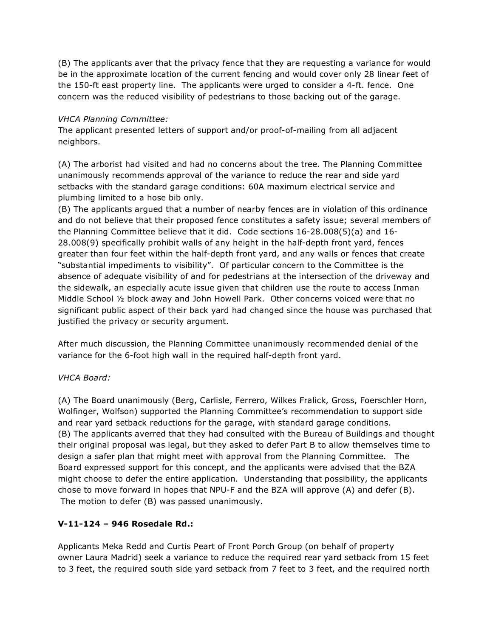(B) The applicants aver that the privacy fence that they are requesting a variance for would be in the approximate location of the current fencing and would cover only 28 linear feet of the 150-ft east property line. The applicants were urged to consider a 4-ft. fence. One concern was the reduced visibility of pedestrians to those backing out of the garage.

# *VHCA Planning Committee:*

The applicant presented letters of support and/or proof-of-mailing from all adjacent neighbors.

(A) The arborist had visited and had no concerns about the tree. The Planning Committee unanimously recommends approval of the variance to reduce the rear and side yard setbacks with the standard garage conditions: 60A maximum electrical service and plumbing limited to a hose bib only.

(B) The applicants argued that a number of nearby fences are in violation of this ordinance and do not believe that their proposed fence constitutes a safety issue; several members of the Planning Committee believe that it did. Code sections 16-28.008(5)(a) and 16- 28.008(9) specifically prohibit walls of any height in the half-depth front yard, fences greater than four feet within the half-depth front yard, and any walls or fences that create "substantial impediments to visibility". Of particular concern to the Committee is the absence of adequate visibility of and for pedestrians at the intersection of the driveway and the sidewalk, an especially acute issue given that children use the route to access Inman Middle School ½ block away and John Howell Park. Other concerns voiced were that no significant public aspect of their back yard had changed since the house was purchased that justified the privacy or security argument.

After much discussion, the Planning Committee unanimously recommended denial of the variance for the 6-foot high wall in the required half-depth front yard.

# *VHCA Board:*

(A) The Board unanimously (Berg, Carlisle, Ferrero, Wilkes Fralick, Gross, Foerschler Horn, Wolfinger, Wolfson) supported the Planning Committee's recommendation to support side and rear yard setback reductions for the garage, with standard garage conditions. (B) The applicants averred that they had consulted with the Bureau of Buildings and thought their original proposal was legal, but they asked to defer Part B to allow themselves time to design a safer plan that might meet with approval from the Planning Committee. The Board expressed support for this concept, and the applicants were advised that the BZA might choose to defer the entire application. Understanding that possibility, the applicants chose to move forward in hopes that NPU-F and the BZA will approve (A) and defer (B). The motion to defer (B) was passed unanimously.

# **V-11-124 – 946 Rosedale Rd.:**

Applicants Meka Redd and Curtis Peart of Front Porch Group (on behalf of property owner Laura Madrid) seek a variance to reduce the required rear yard setback from 15 feet to 3 feet, the required south side yard setback from 7 feet to 3 feet, and the required north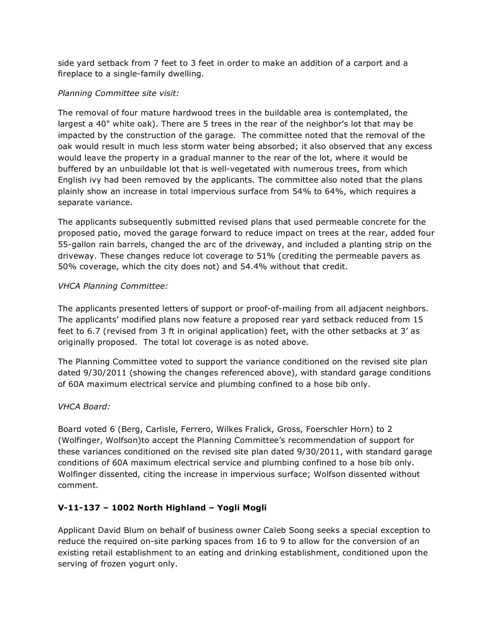side yard setback from 7 feet to 3 feet in order to make an addition of a carport and a fireplace to a single-family dwelling.

## *Planning Committee site visit:*

The removal of four mature hardwood trees in the buildable area is contemplated, the largest a 40" white oak). There are 5 trees in the rear of the neighbor's lot that may be impacted by the construction of the garage. The committee noted that the removal of the oak would result in much less storm water being absorbed; it also observed that any excess would leave the property in a gradual manner to the rear of the lot, where it would be buffered by an unbuildable lot that is well-vegetated with numerous trees, from which English ivy had been removed by the applicants. The committee also noted that the plans plainly show an increase in total impervious surface from 54% to 64%, which requires a separate variance.

The applicants subsequently submitted revised plans that used permeable concrete for the proposed patio, moved the garage forward to reduce impact on trees at the rear, added four 55-gallon rain barrels, changed the arc of the driveway, and included a planting strip on the driveway. These changes reduce lot coverage to 51% (crediting the permeable pavers as 50% coverage, which the city does not) and 54.4% without that credit.

## *VHCA Planning Committee:*

The applicants presented letters of support or proof-of-mailing from all adjacent neighbors. The applicants' modified plans now feature a proposed rear yard setback reduced from 15 feet to 6.7 (revised from 3 ft in original application) feet, with the other setbacks at 3' as originally proposed. The total lot coverage is as noted above.

The Planning Committee voted to support the variance conditioned on the revised site plan dated 9/30/2011 (showing the changes referenced above), with standard garage conditions of 60A maximum electrical service and plumbing confined to a hose bib only.

# *VHCA Board:*

Board voted 6 (Berg, Carlisle, Ferrero, Wilkes Fralick, Gross, Foerschler Horn) to 2 (Wolfinger, Wolfson)to accept the Planning Committee's recommendation of support for these variances conditioned on the revised site plan dated 9/30/2011, with standard garage conditions of 60A maximum electrical service and plumbing confined to a hose bib only. Wolfinger dissented, citing the increase in impervious surface; Wolfson dissented without comment.

# **V-11-137 – 1002 North Highland – Yogli Mogli**

Applicant David Blum on behalf of business owner Caleb Soong seeks a special exception to reduce the required on-site parking spaces from 16 to 9 to allow for the conversion of an existing retail establishment to an eating and drinking establishment, conditioned upon the serving of frozen yogurt only.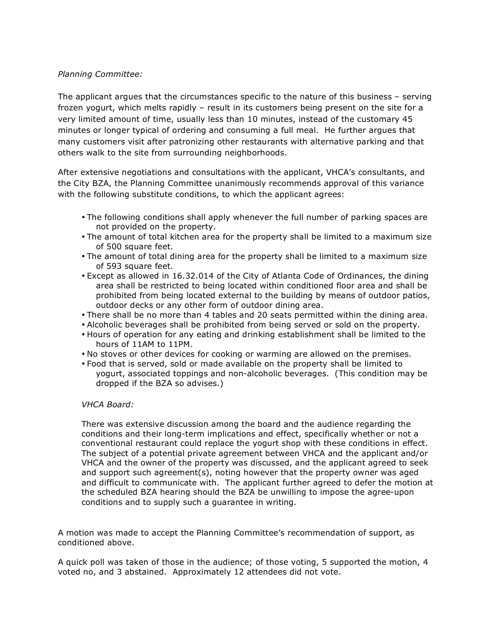## *Planning Committee:*

The applicant argues that the circumstances specific to the nature of this business – serving frozen yogurt, which melts rapidly – result in its customers being present on the site for a very limited amount of time, usually less than 10 minutes, instead of the customary 45 minutes or longer typical of ordering and consuming a full meal. He further argues that many customers visit after patronizing other restaurants with alternative parking and that others walk to the site from surrounding neighborhoods.

After extensive negotiations and consultations with the applicant, VHCA's consultants, and the City BZA, the Planning Committee unanimously recommends approval of this variance with the following substitute conditions, to which the applicant agrees:

- The following conditions shall apply whenever the full number of parking spaces are not provided on the property.
- The amount of total kitchen area for the property shall be limited to a maximum size of 500 square feet.
- The amount of total dining area for the property shall be limited to a maximum size of 593 square feet.
- Except as allowed in 16.32.014 of the City of Atlanta Code of Ordinances, the dining area shall be restricted to being located within conditioned floor area and shall be prohibited from being located external to the building by means of outdoor patios, outdoor decks or any other form of outdoor dining area.
- There shall be no more than 4 tables and 20 seats permitted within the dining area.
- Alcoholic beverages shall be prohibited from being served or sold on the property.
- Hours of operation for any eating and drinking establishment shall be limited to the hours of 11AM to 11PM.
- No stoves or other devices for cooking or warming are allowed on the premises.
- Food that is served, sold or made available on the property shall be limited to yogurt, associated toppings and non-alcoholic beverages. (This condition may be dropped if the BZA so advises.)

## *VHCA Board:*

There was extensive discussion among the board and the audience regarding the conditions and their long-term implications and effect, specifically whether or not a conventional restaurant could replace the yogurt shop with these conditions in effect. The subject of a potential private agreement between VHCA and the applicant and/or VHCA and the owner of the property was discussed, and the applicant agreed to seek and support such agreement(s), noting however that the property owner was aged and difficult to communicate with. The applicant further agreed to defer the motion at the scheduled BZA hearing should the BZA be unwilling to impose the agree-upon conditions and to supply such a guarantee in writing.

A motion was made to accept the Planning Committee's recommendation of support, as conditioned above.

A quick poll was taken of those in the audience; of those voting, 5 supported the motion, 4 voted no, and 3 abstained. Approximately 12 attendees did not vote.